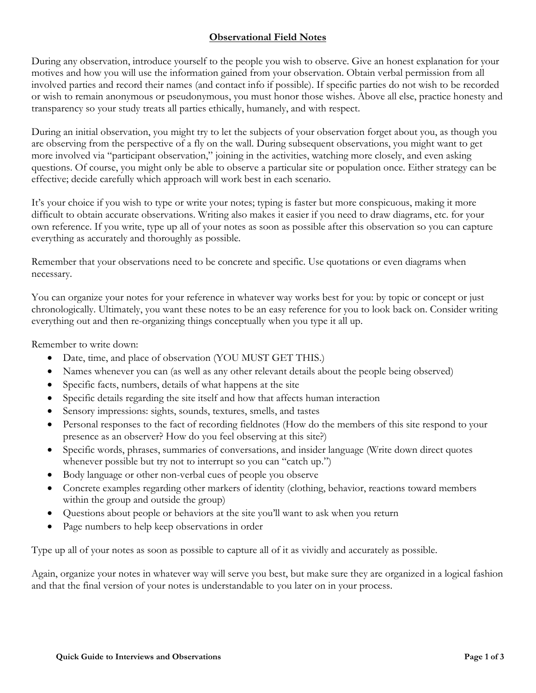## **Observational Field Notes**

During any observation, introduce yourself to the people you wish to observe. Give an honest explanation for your motives and how you will use the information gained from your observation. Obtain verbal permission from all involved parties and record their names (and contact info if possible). If specific parties do not wish to be recorded or wish to remain anonymous or pseudonymous, you must honor those wishes. Above all else, practice honesty and transparency so your study treats all parties ethically, humanely, and with respect.

During an initial observation, you might try to let the subjects of your observation forget about you, as though you are observing from the perspective of a fly on the wall. During subsequent observations, you might want to get more involved via "participant observation," joining in the activities, watching more closely, and even asking questions. Of course, you might only be able to observe a particular site or population once. Either strategy can be effective; decide carefully which approach will work best in each scenario.

It's your choice if you wish to type or write your notes; typing is faster but more conspicuous, making it more difficult to obtain accurate observations. Writing also makes it easier if you need to draw diagrams, etc. for your own reference. If you write, type up all of your notes as soon as possible after this observation so you can capture everything as accurately and thoroughly as possible.

Remember that your observations need to be concrete and specific. Use quotations or even diagrams when necessary.

You can organize your notes for your reference in whatever way works best for you: by topic or concept or just chronologically. Ultimately, you want these notes to be an easy reference for you to look back on. Consider writing everything out and then re-organizing things conceptually when you type it all up.

Remember to write down:

- Date, time, and place of observation (YOU MUST GET THIS.)
- Names whenever you can (as well as any other relevant details about the people being observed)
- Specific facts, numbers, details of what happens at the site
- Specific details regarding the site itself and how that affects human interaction
- Sensory impressions: sights, sounds, textures, smells, and tastes
- Personal responses to the fact of recording fieldnotes (How do the members of this site respond to your presence as an observer? How do you feel observing at this site?)
- Specific words, phrases, summaries of conversations, and insider language (Write down direct quotes whenever possible but try not to interrupt so you can "catch up.")
- Body language or other non-verbal cues of people you observe
- Concrete examples regarding other markers of identity (clothing, behavior, reactions toward members within the group and outside the group)
- Questions about people or behaviors at the site you'll want to ask when you return
- Page numbers to help keep observations in order

Type up all of your notes as soon as possible to capture all of it as vividly and accurately as possible.

Again, organize your notes in whatever way will serve you best, but make sure they are organized in a logical fashion and that the final version of your notes is understandable to you later on in your process.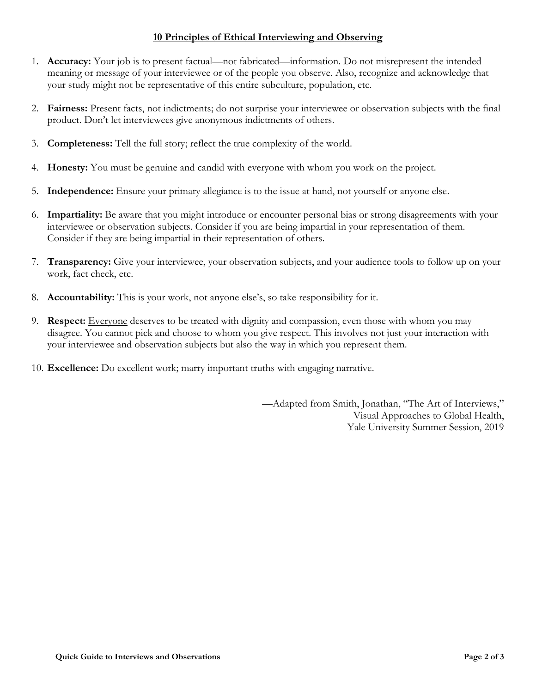## **10 Principles of Ethical Interviewing and Observing**

- 1. **Accuracy:** Your job is to present factual—not fabricated—information. Do not misrepresent the intended meaning or message of your interviewee or of the people you observe. Also, recognize and acknowledge that your study might not be representative of this entire subculture, population, etc.
- 2. **Fairness:** Present facts, not indictments; do not surprise your interviewee or observation subjects with the final product. Don't let interviewees give anonymous indictments of others.
- 3. **Completeness:** Tell the full story; reflect the true complexity of the world.
- 4. **Honesty:** You must be genuine and candid with everyone with whom you work on the project.
- 5. **Independence:** Ensure your primary allegiance is to the issue at hand, not yourself or anyone else.
- 6. **Impartiality:** Be aware that you might introduce or encounter personal bias or strong disagreements with your interviewee or observation subjects. Consider if you are being impartial in your representation of them. Consider if they are being impartial in their representation of others.
- 7. **Transparency:** Give your interviewee, your observation subjects, and your audience tools to follow up on your work, fact check, etc.
- 8. **Accountability:** This is your work, not anyone else's, so take responsibility for it.
- 9. **Respect:** Everyone deserves to be treated with dignity and compassion, even those with whom you may disagree. You cannot pick and choose to whom you give respect. This involves not just your interaction with your interviewee and observation subjects but also the way in which you represent them.
- 10. **Excellence:** Do excellent work; marry important truths with engaging narrative.

—Adapted from Smith, Jonathan, "The Art of Interviews," Visual Approaches to Global Health, Yale University Summer Session, 2019